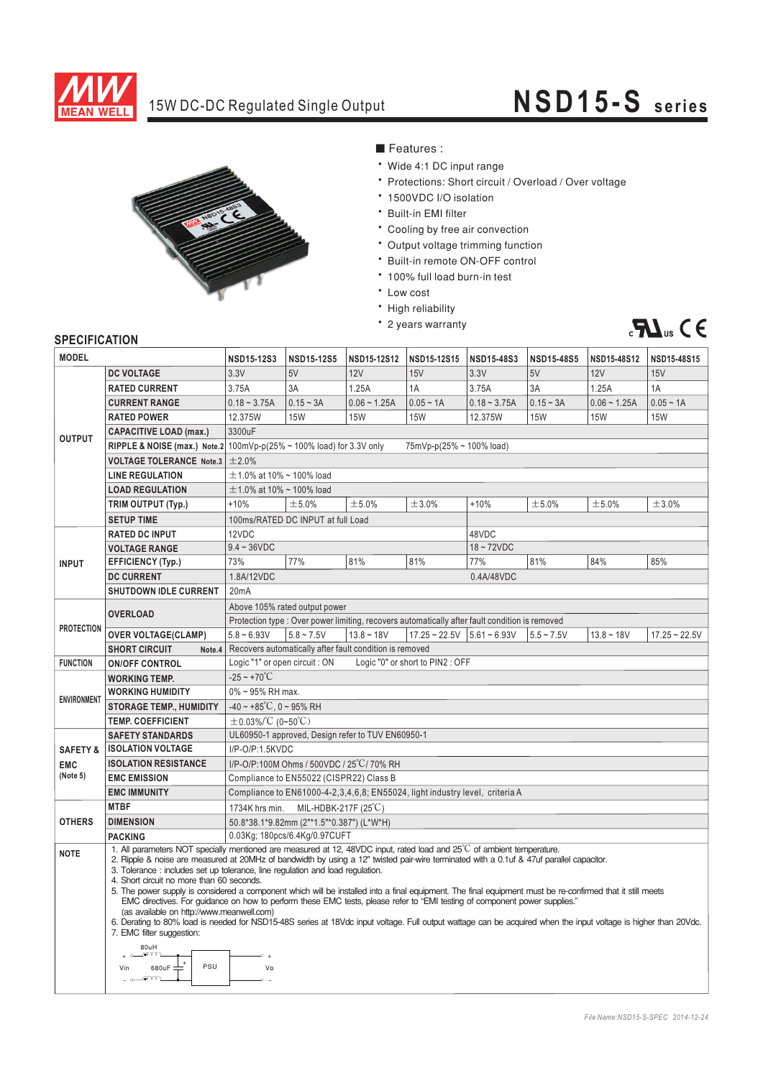

## 15W DC-DC Regulated Single Output **NSD15-S series**



- Features :
- \* Wide 4:1 DC input range
- \* Protections: Short circuit / Overload / Over voltage
- 1500VDC I/O isolation
- \* Built-in EMI filter
- \* Cooling by free air convection
- \* Output voltage trimming function
- \* Built-in remote ON-OFF control
- \* 100% full load burn-in test
- \* Low cost
- \* High reliability
- \* 2 years warranty



## **SPECIFICATION**

| <b>DC VOLTAGE</b><br>3.3V<br>5V<br>12V<br>15V<br>3.3V<br>5V<br>12V<br>15V<br>3.75A<br>1.25A<br>3A<br>1.25A<br>1A<br><b>RATED CURRENT</b><br>3A<br>1A<br>3.75A<br>$0.18 - 3.75A$<br>$0.15 - 3A$<br>$0.06 - 1.25A$<br>$0.05 - 1A$<br>$0.15 - 3A$<br>$0.06 - 1.25A$<br>$0.05 - 1A$<br><b>CURRENT RANGE</b><br>$0.18 - 3.75A$<br><b>RATED POWER</b><br>12.375W<br><b>15W</b><br><b>15W</b><br><b>15W</b><br>12.375W<br><b>15W</b><br><b>15W</b><br><b>15W</b><br>3300uF<br><b>CAPACITIVE LOAD (max.)</b><br><b>OUTPUT</b><br><b>RIPPLE &amp; NOISE (max.)</b> Note.2 100mVp-p(25% ~ 100% load) for 3.3V only<br>75mVp-p(25% ~ 100% load)<br>±2.0%<br><b>VOLTAGE TOLERANCE Note.3</b><br><b>LINE REGULATION</b><br>$\pm$ 1.0% at 10% ~ 100% load<br>$\pm$ 1.0% at 10% ~ 100% load<br><b>LOAD REGULATION</b><br>$+10%$<br>±5.0%<br>±5.0%<br>±3.0%<br>±5.0%<br>±3.0%<br>TRIM OUTPUT (Typ.)<br>$+10%$<br>±5.0%<br>100ms/RATED DC INPUT at full Load<br><b>SETUP TIME</b><br><b>RATED DC INPUT</b><br>12VDC<br>48VDC<br>$9.4 - 36$ VDC<br>$18 - 72VDC$<br><b>VOLTAGE RANGE</b><br>73%<br>77%<br>81%<br>81%<br>81%<br>84%<br>85%<br><b>EFFICIENCY (Typ.)</b><br>77%<br><b>INPUT</b><br><b>DC CURRENT</b><br>1.8A/12VDC<br>0.4A/48VDC<br><b>SHUTDOWN IDLE CURRENT</b><br>20 <sub>m</sub> A<br>Above 105% rated output power<br><b>OVERLOAD</b><br>Protection type : Over power limiting, recovers automatically after fault condition is removed<br><b>PROTECTION</b><br>$5.8 - 6.93V$<br>$5.8 \sim 7.5V$<br>$13.8 - 18V$<br>$17.25 \approx 22.5V$ 5.61 $\approx 6.93V$<br><b>OVER VOLTAGE(CLAMP)</b><br>$5.5 - 7.5V$<br>$13.8 - 18V$<br>Recovers automatically after fault condition is removed<br><b>SHORT CIRCUIT</b><br>Note.4<br>Logic "1" or open circuit : ON<br>Logic "0" or short to PIN2 : OFF<br><b>FUNCTION</b><br><b>ON/OFF CONTROL</b><br>$-25 - +70^{\circ}C$<br><b>WORKING TEMP.</b><br>0% ~ 95% RH max.<br><b>WORKING HUMIDITY</b><br><b>ENVIRONMENT</b><br>$-40 \sim +85^{\circ}C$ , 0 ~ 95% RH<br><b>STORAGE TEMP., HUMIDITY</b><br>$\pm$ 0.03%/°C (0~50°C)<br><b>TEMP. COEFFICIENT</b><br>UL60950-1 approved, Design refer to TUV EN60950-1<br><b>SAFETY STANDARDS</b><br>I/P-O/P:1.5KVDC<br><b>ISOLATION VOLTAGE</b><br><b>SAFETY &amp;</b><br>I/P-O/P:100M Ohms / 500VDC / 25°C/70% RH<br><b>ISOLATION RESISTANCE</b><br><b>EMC</b><br>(Note 5)<br>Compliance to EN55022 (CISPR22) Class B<br><b>EMC EMISSION</b><br><b>EMC IMMUNITY</b><br>Compliance to EN61000-4-2, 3, 4, 6, 8; EN 55024, light industry level, criteria A<br><b>MTBF</b><br>1734K hrs min.<br>MIL-HDBK-217F (25 $\degree$ C)<br>50.8*38.1*9.82mm (2"*1.5"*0.387") (L*W*H)<br><b>OTHERS</b><br><b>DIMENSION</b><br>0.03Kg; 180pcs/6.4Kg/0.97CUFT<br><b>PACKING</b><br>1. All parameters NOT specially mentioned are measured at 12, 48VDC input, rated load and 25°C of ambient temperature.<br><b>NOTE</b><br>2. Ripple & noise are measured at 20MHz of bandwidth by using a 12" twisted pair-wire terminated with a 0.1uf & 47uf parallel capacitor.<br>3. Tolerance: includes set up tolerance, line regulation and load regulation.<br>4. Short circuit no more than 60 seconds.<br>5. The power supply is considered a component which will be installed into a final equipment. The final equipment must be re-confirmed that it still meets<br>EMC directives. For quidance on how to perform these EMC tests, please refer to "EMI testing of component power supplies."<br>(as available on http://www.meanwell.com)<br>6. Derating to 80% load is needed for NSD15-48S series at 18Vdc input voltage. Full output wattage can be acquired when the input voltage is higher than 20Vdc.<br>7. EMC filter suggestion:<br>80uH | <b>MODEL</b> |  | NSD15-12S3 | <b>NSD15-12S5</b> | NSD15-12S12 | NSD15-12S15 | NSD15-48S3 | <b>NSD15-48S5</b> | NSD15-48S12 | NSD15-48S15     |
|----------------------------------------------------------------------------------------------------------------------------------------------------------------------------------------------------------------------------------------------------------------------------------------------------------------------------------------------------------------------------------------------------------------------------------------------------------------------------------------------------------------------------------------------------------------------------------------------------------------------------------------------------------------------------------------------------------------------------------------------------------------------------------------------------------------------------------------------------------------------------------------------------------------------------------------------------------------------------------------------------------------------------------------------------------------------------------------------------------------------------------------------------------------------------------------------------------------------------------------------------------------------------------------------------------------------------------------------------------------------------------------------------------------------------------------------------------------------------------------------------------------------------------------------------------------------------------------------------------------------------------------------------------------------------------------------------------------------------------------------------------------------------------------------------------------------------------------------------------------------------------------------------------------------------------------------------------------------------------------------------------------------------------------------------------------------------------------------------------------------------------------------------------------------------------------------------------------------------------------------------------------------------------------------------------------------------------------------------------------------------------------------------------------------------------------------------------------------------------------------------------------------------------------------------------------------------------------------------------------------------------------------------------------------------------------------------------------------------------------------------------------------------------------------------------------------------------------------------------------------------------------------------------------------------------------------------------------------------------------------------------------------------------------------------------------------------------------------------------------------------------------------------------------------------------------------------------------------------------------------------------------------------------------------------------------------------------------------------------------------------------------------------------------------------------------------------------------------------------------------------------------------------------------------------------------------------------------------------------------------------------------------------------------------------------------------------------------------|--------------|--|------------|-------------------|-------------|-------------|------------|-------------------|-------------|-----------------|
|                                                                                                                                                                                                                                                                                                                                                                                                                                                                                                                                                                                                                                                                                                                                                                                                                                                                                                                                                                                                                                                                                                                                                                                                                                                                                                                                                                                                                                                                                                                                                                                                                                                                                                                                                                                                                                                                                                                                                                                                                                                                                                                                                                                                                                                                                                                                                                                                                                                                                                                                                                                                                                                                                                                                                                                                                                                                                                                                                                                                                                                                                                                                                                                                                                                                                                                                                                                                                                                                                                                                                                                                                                                                                                                      |              |  |            |                   |             |             |            |                   |             |                 |
|                                                                                                                                                                                                                                                                                                                                                                                                                                                                                                                                                                                                                                                                                                                                                                                                                                                                                                                                                                                                                                                                                                                                                                                                                                                                                                                                                                                                                                                                                                                                                                                                                                                                                                                                                                                                                                                                                                                                                                                                                                                                                                                                                                                                                                                                                                                                                                                                                                                                                                                                                                                                                                                                                                                                                                                                                                                                                                                                                                                                                                                                                                                                                                                                                                                                                                                                                                                                                                                                                                                                                                                                                                                                                                                      |              |  |            |                   |             |             |            |                   |             |                 |
|                                                                                                                                                                                                                                                                                                                                                                                                                                                                                                                                                                                                                                                                                                                                                                                                                                                                                                                                                                                                                                                                                                                                                                                                                                                                                                                                                                                                                                                                                                                                                                                                                                                                                                                                                                                                                                                                                                                                                                                                                                                                                                                                                                                                                                                                                                                                                                                                                                                                                                                                                                                                                                                                                                                                                                                                                                                                                                                                                                                                                                                                                                                                                                                                                                                                                                                                                                                                                                                                                                                                                                                                                                                                                                                      |              |  |            |                   |             |             |            |                   |             |                 |
|                                                                                                                                                                                                                                                                                                                                                                                                                                                                                                                                                                                                                                                                                                                                                                                                                                                                                                                                                                                                                                                                                                                                                                                                                                                                                                                                                                                                                                                                                                                                                                                                                                                                                                                                                                                                                                                                                                                                                                                                                                                                                                                                                                                                                                                                                                                                                                                                                                                                                                                                                                                                                                                                                                                                                                                                                                                                                                                                                                                                                                                                                                                                                                                                                                                                                                                                                                                                                                                                                                                                                                                                                                                                                                                      |              |  |            |                   |             |             |            |                   |             |                 |
|                                                                                                                                                                                                                                                                                                                                                                                                                                                                                                                                                                                                                                                                                                                                                                                                                                                                                                                                                                                                                                                                                                                                                                                                                                                                                                                                                                                                                                                                                                                                                                                                                                                                                                                                                                                                                                                                                                                                                                                                                                                                                                                                                                                                                                                                                                                                                                                                                                                                                                                                                                                                                                                                                                                                                                                                                                                                                                                                                                                                                                                                                                                                                                                                                                                                                                                                                                                                                                                                                                                                                                                                                                                                                                                      |              |  |            |                   |             |             |            |                   |             |                 |
|                                                                                                                                                                                                                                                                                                                                                                                                                                                                                                                                                                                                                                                                                                                                                                                                                                                                                                                                                                                                                                                                                                                                                                                                                                                                                                                                                                                                                                                                                                                                                                                                                                                                                                                                                                                                                                                                                                                                                                                                                                                                                                                                                                                                                                                                                                                                                                                                                                                                                                                                                                                                                                                                                                                                                                                                                                                                                                                                                                                                                                                                                                                                                                                                                                                                                                                                                                                                                                                                                                                                                                                                                                                                                                                      |              |  |            |                   |             |             |            |                   |             |                 |
|                                                                                                                                                                                                                                                                                                                                                                                                                                                                                                                                                                                                                                                                                                                                                                                                                                                                                                                                                                                                                                                                                                                                                                                                                                                                                                                                                                                                                                                                                                                                                                                                                                                                                                                                                                                                                                                                                                                                                                                                                                                                                                                                                                                                                                                                                                                                                                                                                                                                                                                                                                                                                                                                                                                                                                                                                                                                                                                                                                                                                                                                                                                                                                                                                                                                                                                                                                                                                                                                                                                                                                                                                                                                                                                      |              |  |            |                   |             |             |            |                   |             |                 |
|                                                                                                                                                                                                                                                                                                                                                                                                                                                                                                                                                                                                                                                                                                                                                                                                                                                                                                                                                                                                                                                                                                                                                                                                                                                                                                                                                                                                                                                                                                                                                                                                                                                                                                                                                                                                                                                                                                                                                                                                                                                                                                                                                                                                                                                                                                                                                                                                                                                                                                                                                                                                                                                                                                                                                                                                                                                                                                                                                                                                                                                                                                                                                                                                                                                                                                                                                                                                                                                                                                                                                                                                                                                                                                                      |              |  |            |                   |             |             |            |                   |             |                 |
|                                                                                                                                                                                                                                                                                                                                                                                                                                                                                                                                                                                                                                                                                                                                                                                                                                                                                                                                                                                                                                                                                                                                                                                                                                                                                                                                                                                                                                                                                                                                                                                                                                                                                                                                                                                                                                                                                                                                                                                                                                                                                                                                                                                                                                                                                                                                                                                                                                                                                                                                                                                                                                                                                                                                                                                                                                                                                                                                                                                                                                                                                                                                                                                                                                                                                                                                                                                                                                                                                                                                                                                                                                                                                                                      |              |  |            |                   |             |             |            |                   |             |                 |
|                                                                                                                                                                                                                                                                                                                                                                                                                                                                                                                                                                                                                                                                                                                                                                                                                                                                                                                                                                                                                                                                                                                                                                                                                                                                                                                                                                                                                                                                                                                                                                                                                                                                                                                                                                                                                                                                                                                                                                                                                                                                                                                                                                                                                                                                                                                                                                                                                                                                                                                                                                                                                                                                                                                                                                                                                                                                                                                                                                                                                                                                                                                                                                                                                                                                                                                                                                                                                                                                                                                                                                                                                                                                                                                      |              |  |            |                   |             |             |            |                   |             |                 |
|                                                                                                                                                                                                                                                                                                                                                                                                                                                                                                                                                                                                                                                                                                                                                                                                                                                                                                                                                                                                                                                                                                                                                                                                                                                                                                                                                                                                                                                                                                                                                                                                                                                                                                                                                                                                                                                                                                                                                                                                                                                                                                                                                                                                                                                                                                                                                                                                                                                                                                                                                                                                                                                                                                                                                                                                                                                                                                                                                                                                                                                                                                                                                                                                                                                                                                                                                                                                                                                                                                                                                                                                                                                                                                                      |              |  |            |                   |             |             |            |                   |             |                 |
|                                                                                                                                                                                                                                                                                                                                                                                                                                                                                                                                                                                                                                                                                                                                                                                                                                                                                                                                                                                                                                                                                                                                                                                                                                                                                                                                                                                                                                                                                                                                                                                                                                                                                                                                                                                                                                                                                                                                                                                                                                                                                                                                                                                                                                                                                                                                                                                                                                                                                                                                                                                                                                                                                                                                                                                                                                                                                                                                                                                                                                                                                                                                                                                                                                                                                                                                                                                                                                                                                                                                                                                                                                                                                                                      |              |  |            |                   |             |             |            |                   |             |                 |
|                                                                                                                                                                                                                                                                                                                                                                                                                                                                                                                                                                                                                                                                                                                                                                                                                                                                                                                                                                                                                                                                                                                                                                                                                                                                                                                                                                                                                                                                                                                                                                                                                                                                                                                                                                                                                                                                                                                                                                                                                                                                                                                                                                                                                                                                                                                                                                                                                                                                                                                                                                                                                                                                                                                                                                                                                                                                                                                                                                                                                                                                                                                                                                                                                                                                                                                                                                                                                                                                                                                                                                                                                                                                                                                      |              |  |            |                   |             |             |            |                   |             |                 |
|                                                                                                                                                                                                                                                                                                                                                                                                                                                                                                                                                                                                                                                                                                                                                                                                                                                                                                                                                                                                                                                                                                                                                                                                                                                                                                                                                                                                                                                                                                                                                                                                                                                                                                                                                                                                                                                                                                                                                                                                                                                                                                                                                                                                                                                                                                                                                                                                                                                                                                                                                                                                                                                                                                                                                                                                                                                                                                                                                                                                                                                                                                                                                                                                                                                                                                                                                                                                                                                                                                                                                                                                                                                                                                                      |              |  |            |                   |             |             |            |                   |             |                 |
|                                                                                                                                                                                                                                                                                                                                                                                                                                                                                                                                                                                                                                                                                                                                                                                                                                                                                                                                                                                                                                                                                                                                                                                                                                                                                                                                                                                                                                                                                                                                                                                                                                                                                                                                                                                                                                                                                                                                                                                                                                                                                                                                                                                                                                                                                                                                                                                                                                                                                                                                                                                                                                                                                                                                                                                                                                                                                                                                                                                                                                                                                                                                                                                                                                                                                                                                                                                                                                                                                                                                                                                                                                                                                                                      |              |  |            |                   |             |             |            |                   |             |                 |
|                                                                                                                                                                                                                                                                                                                                                                                                                                                                                                                                                                                                                                                                                                                                                                                                                                                                                                                                                                                                                                                                                                                                                                                                                                                                                                                                                                                                                                                                                                                                                                                                                                                                                                                                                                                                                                                                                                                                                                                                                                                                                                                                                                                                                                                                                                                                                                                                                                                                                                                                                                                                                                                                                                                                                                                                                                                                                                                                                                                                                                                                                                                                                                                                                                                                                                                                                                                                                                                                                                                                                                                                                                                                                                                      |              |  |            |                   |             |             |            |                   |             |                 |
|                                                                                                                                                                                                                                                                                                                                                                                                                                                                                                                                                                                                                                                                                                                                                                                                                                                                                                                                                                                                                                                                                                                                                                                                                                                                                                                                                                                                                                                                                                                                                                                                                                                                                                                                                                                                                                                                                                                                                                                                                                                                                                                                                                                                                                                                                                                                                                                                                                                                                                                                                                                                                                                                                                                                                                                                                                                                                                                                                                                                                                                                                                                                                                                                                                                                                                                                                                                                                                                                                                                                                                                                                                                                                                                      |              |  |            |                   |             |             |            |                   |             |                 |
|                                                                                                                                                                                                                                                                                                                                                                                                                                                                                                                                                                                                                                                                                                                                                                                                                                                                                                                                                                                                                                                                                                                                                                                                                                                                                                                                                                                                                                                                                                                                                                                                                                                                                                                                                                                                                                                                                                                                                                                                                                                                                                                                                                                                                                                                                                                                                                                                                                                                                                                                                                                                                                                                                                                                                                                                                                                                                                                                                                                                                                                                                                                                                                                                                                                                                                                                                                                                                                                                                                                                                                                                                                                                                                                      |              |  |            |                   |             |             |            |                   |             |                 |
|                                                                                                                                                                                                                                                                                                                                                                                                                                                                                                                                                                                                                                                                                                                                                                                                                                                                                                                                                                                                                                                                                                                                                                                                                                                                                                                                                                                                                                                                                                                                                                                                                                                                                                                                                                                                                                                                                                                                                                                                                                                                                                                                                                                                                                                                                                                                                                                                                                                                                                                                                                                                                                                                                                                                                                                                                                                                                                                                                                                                                                                                                                                                                                                                                                                                                                                                                                                                                                                                                                                                                                                                                                                                                                                      |              |  |            |                   |             |             |            |                   |             |                 |
|                                                                                                                                                                                                                                                                                                                                                                                                                                                                                                                                                                                                                                                                                                                                                                                                                                                                                                                                                                                                                                                                                                                                                                                                                                                                                                                                                                                                                                                                                                                                                                                                                                                                                                                                                                                                                                                                                                                                                                                                                                                                                                                                                                                                                                                                                                                                                                                                                                                                                                                                                                                                                                                                                                                                                                                                                                                                                                                                                                                                                                                                                                                                                                                                                                                                                                                                                                                                                                                                                                                                                                                                                                                                                                                      |              |  |            |                   |             |             |            |                   |             | $17.25 - 22.5V$ |
|                                                                                                                                                                                                                                                                                                                                                                                                                                                                                                                                                                                                                                                                                                                                                                                                                                                                                                                                                                                                                                                                                                                                                                                                                                                                                                                                                                                                                                                                                                                                                                                                                                                                                                                                                                                                                                                                                                                                                                                                                                                                                                                                                                                                                                                                                                                                                                                                                                                                                                                                                                                                                                                                                                                                                                                                                                                                                                                                                                                                                                                                                                                                                                                                                                                                                                                                                                                                                                                                                                                                                                                                                                                                                                                      |              |  |            |                   |             |             |            |                   |             |                 |
|                                                                                                                                                                                                                                                                                                                                                                                                                                                                                                                                                                                                                                                                                                                                                                                                                                                                                                                                                                                                                                                                                                                                                                                                                                                                                                                                                                                                                                                                                                                                                                                                                                                                                                                                                                                                                                                                                                                                                                                                                                                                                                                                                                                                                                                                                                                                                                                                                                                                                                                                                                                                                                                                                                                                                                                                                                                                                                                                                                                                                                                                                                                                                                                                                                                                                                                                                                                                                                                                                                                                                                                                                                                                                                                      |              |  |            |                   |             |             |            |                   |             |                 |
|                                                                                                                                                                                                                                                                                                                                                                                                                                                                                                                                                                                                                                                                                                                                                                                                                                                                                                                                                                                                                                                                                                                                                                                                                                                                                                                                                                                                                                                                                                                                                                                                                                                                                                                                                                                                                                                                                                                                                                                                                                                                                                                                                                                                                                                                                                                                                                                                                                                                                                                                                                                                                                                                                                                                                                                                                                                                                                                                                                                                                                                                                                                                                                                                                                                                                                                                                                                                                                                                                                                                                                                                                                                                                                                      |              |  |            |                   |             |             |            |                   |             |                 |
|                                                                                                                                                                                                                                                                                                                                                                                                                                                                                                                                                                                                                                                                                                                                                                                                                                                                                                                                                                                                                                                                                                                                                                                                                                                                                                                                                                                                                                                                                                                                                                                                                                                                                                                                                                                                                                                                                                                                                                                                                                                                                                                                                                                                                                                                                                                                                                                                                                                                                                                                                                                                                                                                                                                                                                                                                                                                                                                                                                                                                                                                                                                                                                                                                                                                                                                                                                                                                                                                                                                                                                                                                                                                                                                      |              |  |            |                   |             |             |            |                   |             |                 |
|                                                                                                                                                                                                                                                                                                                                                                                                                                                                                                                                                                                                                                                                                                                                                                                                                                                                                                                                                                                                                                                                                                                                                                                                                                                                                                                                                                                                                                                                                                                                                                                                                                                                                                                                                                                                                                                                                                                                                                                                                                                                                                                                                                                                                                                                                                                                                                                                                                                                                                                                                                                                                                                                                                                                                                                                                                                                                                                                                                                                                                                                                                                                                                                                                                                                                                                                                                                                                                                                                                                                                                                                                                                                                                                      |              |  |            |                   |             |             |            |                   |             |                 |
|                                                                                                                                                                                                                                                                                                                                                                                                                                                                                                                                                                                                                                                                                                                                                                                                                                                                                                                                                                                                                                                                                                                                                                                                                                                                                                                                                                                                                                                                                                                                                                                                                                                                                                                                                                                                                                                                                                                                                                                                                                                                                                                                                                                                                                                                                                                                                                                                                                                                                                                                                                                                                                                                                                                                                                                                                                                                                                                                                                                                                                                                                                                                                                                                                                                                                                                                                                                                                                                                                                                                                                                                                                                                                                                      |              |  |            |                   |             |             |            |                   |             |                 |
|                                                                                                                                                                                                                                                                                                                                                                                                                                                                                                                                                                                                                                                                                                                                                                                                                                                                                                                                                                                                                                                                                                                                                                                                                                                                                                                                                                                                                                                                                                                                                                                                                                                                                                                                                                                                                                                                                                                                                                                                                                                                                                                                                                                                                                                                                                                                                                                                                                                                                                                                                                                                                                                                                                                                                                                                                                                                                                                                                                                                                                                                                                                                                                                                                                                                                                                                                                                                                                                                                                                                                                                                                                                                                                                      |              |  |            |                   |             |             |            |                   |             |                 |
|                                                                                                                                                                                                                                                                                                                                                                                                                                                                                                                                                                                                                                                                                                                                                                                                                                                                                                                                                                                                                                                                                                                                                                                                                                                                                                                                                                                                                                                                                                                                                                                                                                                                                                                                                                                                                                                                                                                                                                                                                                                                                                                                                                                                                                                                                                                                                                                                                                                                                                                                                                                                                                                                                                                                                                                                                                                                                                                                                                                                                                                                                                                                                                                                                                                                                                                                                                                                                                                                                                                                                                                                                                                                                                                      |              |  |            |                   |             |             |            |                   |             |                 |
|                                                                                                                                                                                                                                                                                                                                                                                                                                                                                                                                                                                                                                                                                                                                                                                                                                                                                                                                                                                                                                                                                                                                                                                                                                                                                                                                                                                                                                                                                                                                                                                                                                                                                                                                                                                                                                                                                                                                                                                                                                                                                                                                                                                                                                                                                                                                                                                                                                                                                                                                                                                                                                                                                                                                                                                                                                                                                                                                                                                                                                                                                                                                                                                                                                                                                                                                                                                                                                                                                                                                                                                                                                                                                                                      |              |  |            |                   |             |             |            |                   |             |                 |
|                                                                                                                                                                                                                                                                                                                                                                                                                                                                                                                                                                                                                                                                                                                                                                                                                                                                                                                                                                                                                                                                                                                                                                                                                                                                                                                                                                                                                                                                                                                                                                                                                                                                                                                                                                                                                                                                                                                                                                                                                                                                                                                                                                                                                                                                                                                                                                                                                                                                                                                                                                                                                                                                                                                                                                                                                                                                                                                                                                                                                                                                                                                                                                                                                                                                                                                                                                                                                                                                                                                                                                                                                                                                                                                      |              |  |            |                   |             |             |            |                   |             |                 |
|                                                                                                                                                                                                                                                                                                                                                                                                                                                                                                                                                                                                                                                                                                                                                                                                                                                                                                                                                                                                                                                                                                                                                                                                                                                                                                                                                                                                                                                                                                                                                                                                                                                                                                                                                                                                                                                                                                                                                                                                                                                                                                                                                                                                                                                                                                                                                                                                                                                                                                                                                                                                                                                                                                                                                                                                                                                                                                                                                                                                                                                                                                                                                                                                                                                                                                                                                                                                                                                                                                                                                                                                                                                                                                                      |              |  |            |                   |             |             |            |                   |             |                 |
|                                                                                                                                                                                                                                                                                                                                                                                                                                                                                                                                                                                                                                                                                                                                                                                                                                                                                                                                                                                                                                                                                                                                                                                                                                                                                                                                                                                                                                                                                                                                                                                                                                                                                                                                                                                                                                                                                                                                                                                                                                                                                                                                                                                                                                                                                                                                                                                                                                                                                                                                                                                                                                                                                                                                                                                                                                                                                                                                                                                                                                                                                                                                                                                                                                                                                                                                                                                                                                                                                                                                                                                                                                                                                                                      |              |  |            |                   |             |             |            |                   |             |                 |
|                                                                                                                                                                                                                                                                                                                                                                                                                                                                                                                                                                                                                                                                                                                                                                                                                                                                                                                                                                                                                                                                                                                                                                                                                                                                                                                                                                                                                                                                                                                                                                                                                                                                                                                                                                                                                                                                                                                                                                                                                                                                                                                                                                                                                                                                                                                                                                                                                                                                                                                                                                                                                                                                                                                                                                                                                                                                                                                                                                                                                                                                                                                                                                                                                                                                                                                                                                                                                                                                                                                                                                                                                                                                                                                      |              |  |            |                   |             |             |            |                   |             |                 |
|                                                                                                                                                                                                                                                                                                                                                                                                                                                                                                                                                                                                                                                                                                                                                                                                                                                                                                                                                                                                                                                                                                                                                                                                                                                                                                                                                                                                                                                                                                                                                                                                                                                                                                                                                                                                                                                                                                                                                                                                                                                                                                                                                                                                                                                                                                                                                                                                                                                                                                                                                                                                                                                                                                                                                                                                                                                                                                                                                                                                                                                                                                                                                                                                                                                                                                                                                                                                                                                                                                                                                                                                                                                                                                                      |              |  |            |                   |             |             |            |                   |             |                 |
| PSU<br>680uF<br>Vo<br>Vin<br>കന്ന                                                                                                                                                                                                                                                                                                                                                                                                                                                                                                                                                                                                                                                                                                                                                                                                                                                                                                                                                                                                                                                                                                                                                                                                                                                                                                                                                                                                                                                                                                                                                                                                                                                                                                                                                                                                                                                                                                                                                                                                                                                                                                                                                                                                                                                                                                                                                                                                                                                                                                                                                                                                                                                                                                                                                                                                                                                                                                                                                                                                                                                                                                                                                                                                                                                                                                                                                                                                                                                                                                                                                                                                                                                                                    |              |  |            |                   |             |             |            |                   |             |                 |